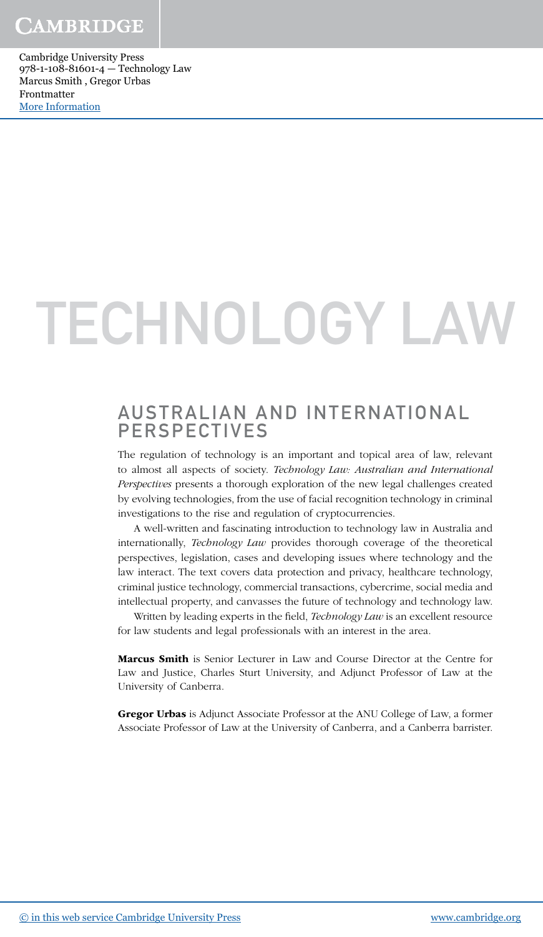# TECHNOLOGY LAW

### AUSTRALIAN AND INTERNATIONAL PERSPECTIVES

The regulation of technology is an important and topical area of law, relevant to almost all aspects of society. Technology Law: Australian and International Perspectives presents a thorough exploration of the new legal challenges created by evolving technologies, from the use of facial recognition technology in criminal investigations to the rise and regulation of cryptocurrencies.

A well-written and fascinating introduction to technology law in Australia and internationally, Technology Law provides thorough coverage of the theoretical perspectives, legislation, cases and developing issues where technology and the law interact. The text covers data protection and privacy, healthcare technology, criminal justice technology, commercial transactions, cybercrime, social media and intellectual property, and canvasses the future of technology and technology law.

Written by leading experts in the field, Technology Law is an excellent resource for law students and legal professionals with an interest in the area.

Marcus Smith is Senior Lecturer in Law and Course Director at the Centre for Law and Justice, Charles Sturt University, and Adjunct Professor of Law at the University of Canberra.

Gregor Urbas is Adjunct Associate Professor at the ANU College of Law, a former Associate Professor of Law at the University of Canberra, and a Canberra barrister.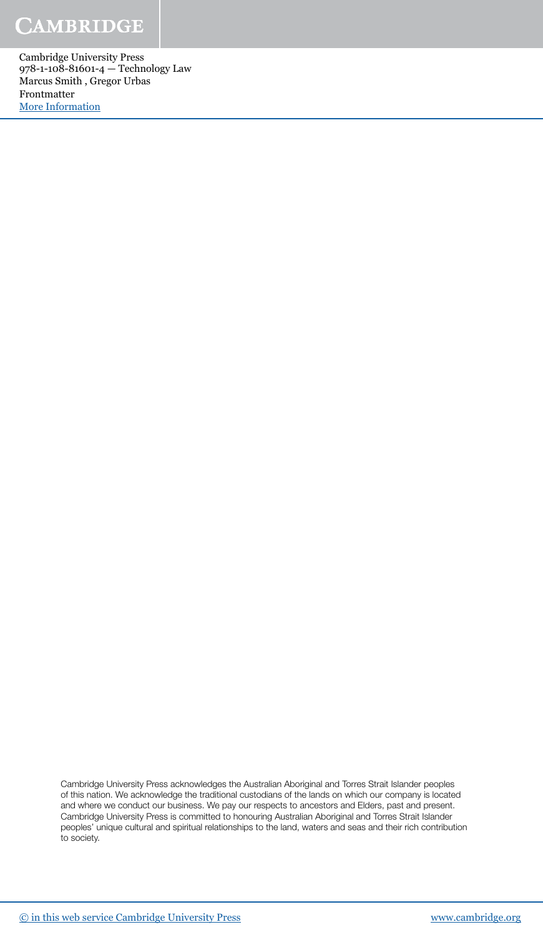Cambridge University Press 978-1-108-81601-4 — Technology Law Marcus Smith , Gregor Urbas Frontmatter [More Information](www.cambridge.org/9781108816014)

> Cambridge University Press acknowledges the Australian Aboriginal and Torres Strait Islander peoples of this nation. We acknowledge the traditional custodians of the lands on which our company is located and where we conduct our business. We pay our respects to ancestors and Elders, past and present. Cambridge University Press is committed to honouring Australian Aboriginal and Torres Strait Islander peoples' unique cultural and spiritual relationships to the land, waters and seas and their rich contribution to society.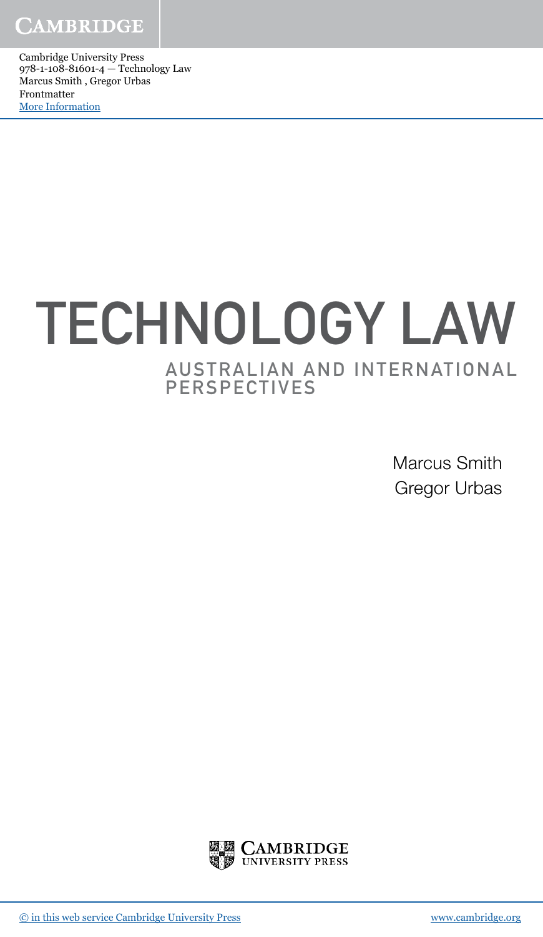Cambridge University Press 978-1-108-81601-4 — Technology Law Marcus Smith , Gregor Urbas Frontmatter [More Information](www.cambridge.org/9781108816014)

## AUSTRALIAN AND INTERNATIONAL PERSPECTIVES TECHNOLOGY LAW

Marcus Smith Gregor Urbas

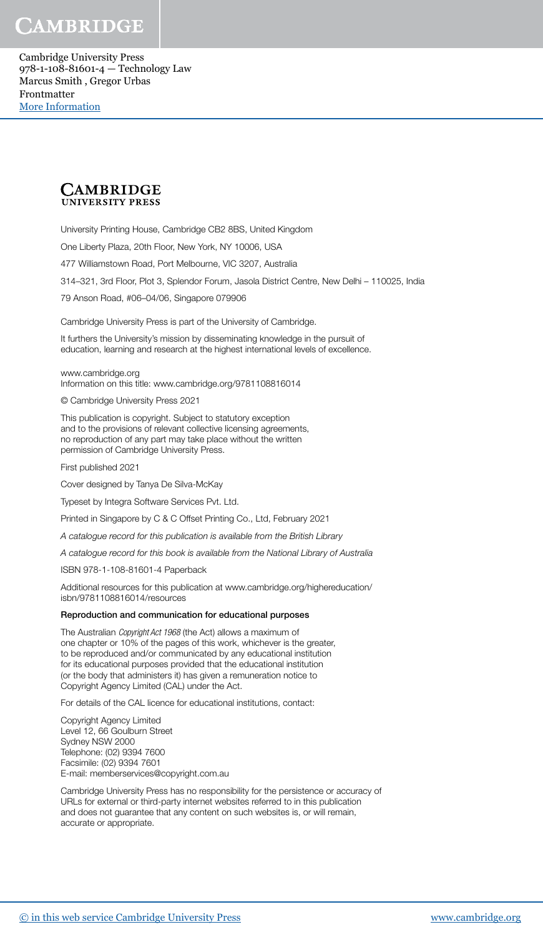

University Printing House, Cambridge CB2 8BS, United Kingdom

One Liberty Plaza, 20th Floor, New York, NY 10006, USA

477 Williamstown Road, Port Melbourne, VIC 3207, Australia

314–321, 3rd Floor, Plot 3, Splendor Forum, Jasola District Centre, New Delhi – 110025, India

79 Anson Road, #06–04/06, Singapore 079906

Cambridge University Press is part of the University of Cambridge.

It furthers the University's mission by disseminating knowledge in the pursuit of education, learning and research at the highest international levels of excellence.

www.cambridge.org Information on this title: www.cambridge.org/9781108816014

© Cambridge University Press 2021

This publication is copyright. Subject to statutory exception and to the provisions of relevant collective licensing agreements, no reproduction of any part may take place without the written permission of Cambridge University Press.

First published 2021

Cover designed by Tanya De Silva-McKay

Typeset by Integra Software Services Pvt. Ltd.

Printed in Singapore by C & C Offset Printing Co., Ltd, February 2021

A catalogue record for this publication is available from the British Library

A catalogue record for this book is available from the National Library of Australia

ISBN 978-1-108-81601-4 Paperback

Additional resources for this publication at www.cambridge.org/highereducation/ isbn/9781108816014/resources

#### Reproduction and communication for educational purposes

The Australian Copyright Act 1968 (the Act) allows a maximum of one chapter or 10% of the pages of this work, whichever is the greater, to be reproduced and/or communicated by any educational institution for its educational purposes provided that the educational institution (or the body that administers it) has given a remuneration notice to Copyright Agency Limited (CAL) under the Act.

For details of the CAL licence for educational institutions, contact:

Copyright Agency Limited Level 12, 66 Goulburn Street Sydney NSW 2000 Telephone: (02) 9394 7600 Facsimile: (02) 9394 7601 E-mail: memberservices@copyright.com.au

Cambridge University Press has no responsibility for the persistence or accuracy of URLs for external or third-party internet websites referred to in this publication and does not guarantee that any content on such websites is, or will remain, accurate or appropriate.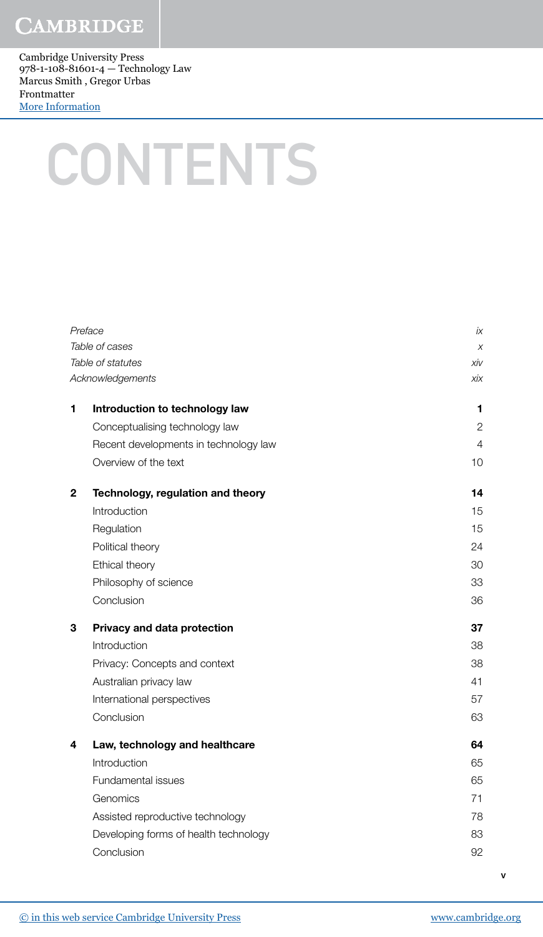Cambridge University Press 978-1-108-81601-4 — Technology Law Marcus Smith , Gregor Urbas Frontmatter [More Information](www.cambridge.org/9781108816014)

## **CONTENTS**

| Preface<br>Table of cases |                                       | İХ             |
|---------------------------|---------------------------------------|----------------|
|                           |                                       | $\chi$         |
|                           | Table of statutes                     | xiv            |
|                           | Acknowledgements                      | хiх            |
| 1                         | Introduction to technology law        | 1              |
|                           | Conceptualising technology law        | $\overline{2}$ |
|                           | Recent developments in technology law | 4              |
|                           | Overview of the text                  | 10             |
| $\mathbf{2}$              | Technology, regulation and theory     | 14             |
|                           | Introduction                          | 15             |
|                           | Regulation                            | 15             |
|                           | Political theory                      | 24             |
|                           | Ethical theory                        | 30             |
|                           | Philosophy of science                 | 33             |
|                           | Conclusion                            | 36             |
| 3                         | Privacy and data protection           | 37             |
|                           | Introduction                          | 38             |
|                           | Privacy: Concepts and context         | 38             |
|                           | Australian privacy law                | 41             |
|                           | International perspectives            | 57             |
|                           | Conclusion                            | 63             |
| 4                         | Law, technology and healthcare        | 64             |
|                           | Introduction                          | 65             |
|                           | Fundamental issues                    | 65             |
|                           | Genomics                              | 71             |
|                           | Assisted reproductive technology      | 78             |
|                           | Developing forms of health technology | 83             |
|                           | Conclusion                            | 92             |
|                           |                                       |                |

v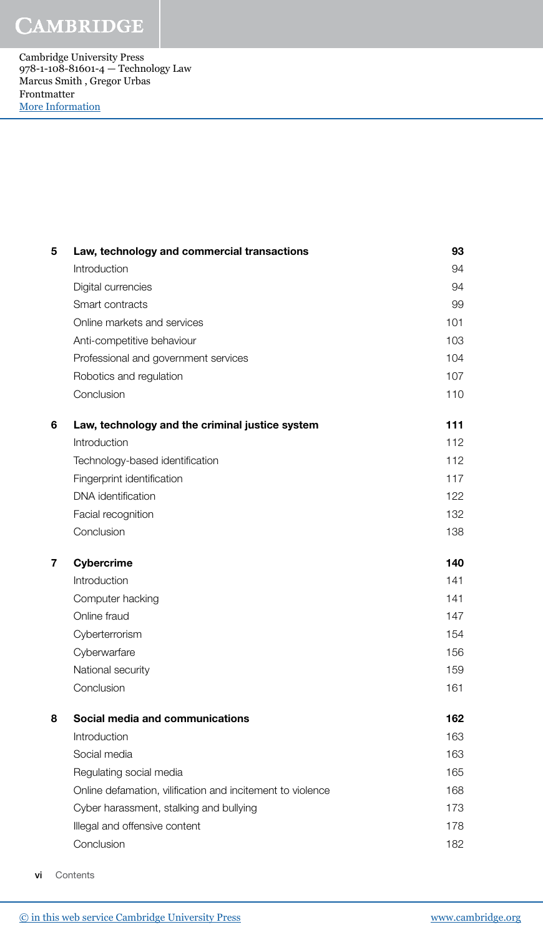Cambridge University Press 978-1-108-81601-4 — Technology Law Marcus Smith , Gregor Urbas Frontmatter [More Information](www.cambridge.org/9781108816014)

| 5 | Law, technology and commercial transactions                | 93  |
|---|------------------------------------------------------------|-----|
|   | Introduction                                               | 94  |
|   | Digital currencies                                         | 94  |
|   | Smart contracts                                            | 99  |
|   | Online markets and services                                | 101 |
|   | Anti-competitive behaviour                                 | 103 |
|   | Professional and government services                       | 104 |
|   | Robotics and regulation                                    | 107 |
|   | Conclusion                                                 | 110 |
| 6 | Law, technology and the criminal justice system            | 111 |
|   | Introduction                                               | 112 |
|   | Technology-based identification                            | 112 |
|   | Fingerprint identification                                 | 117 |
|   | DNA identification                                         | 122 |
|   | Facial recognition                                         | 132 |
|   | Conclusion                                                 | 138 |
|   |                                                            |     |
| 7 | <b>Cybercrime</b>                                          | 140 |
|   | Introduction                                               | 141 |
|   | Computer hacking                                           | 141 |
|   | Online fraud                                               | 147 |
|   | Cyberterrorism                                             | 154 |
|   | Cyberwarfare                                               | 156 |
|   | National security                                          | 159 |
|   | Conclusion                                                 | 161 |
| 8 | Social media and communications                            | 162 |
|   | Introduction                                               | 163 |
|   | Social media                                               | 163 |
|   | Regulating social media                                    | 165 |
|   | Online defamation, vilification and incitement to violence | 168 |
|   | Cyber harassment, stalking and bullying                    | 173 |
|   | Illegal and offensive content                              | 178 |

vi Contents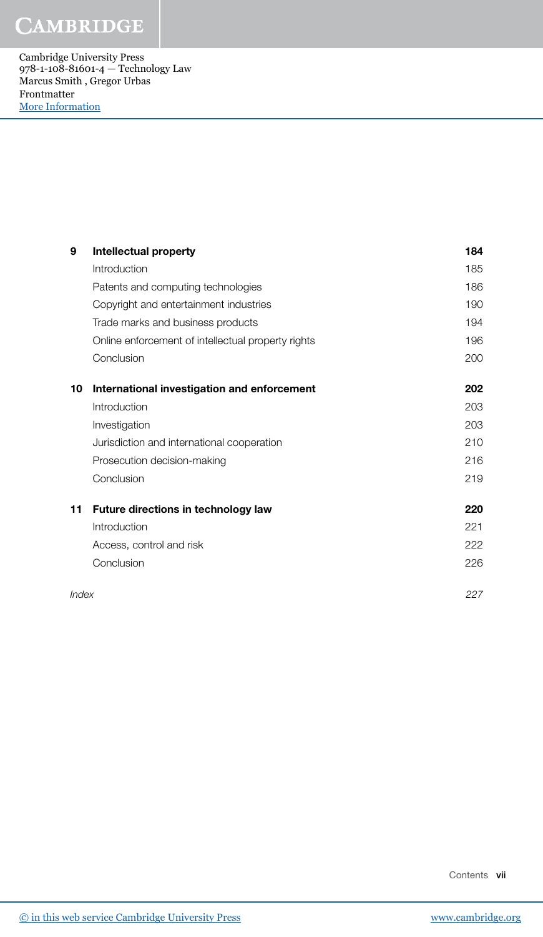Cambridge University Press 978-1-108-81601-4 — Technology Law Marcus Smith , Gregor Urbas Frontmatter [More Information](www.cambridge.org/9781108816014)

| 9     | <b>Intellectual property</b>                       | 184 |
|-------|----------------------------------------------------|-----|
|       | Introduction                                       | 185 |
|       | Patents and computing technologies                 | 186 |
|       | Copyright and entertainment industries             | 190 |
|       | Trade marks and business products                  | 194 |
|       | Online enforcement of intellectual property rights | 196 |
|       | Conclusion                                         | 200 |
| 10    | International investigation and enforcement        | 202 |
|       | Introduction                                       | 203 |
|       | Investigation                                      | 203 |
|       | Jurisdiction and international cooperation         | 210 |
|       | Prosecution decision-making                        | 216 |
|       | Conclusion                                         | 219 |
| 11    | <b>Future directions in technology law</b>         | 220 |
|       | Introduction                                       | 221 |
|       | Access, control and risk                           | 222 |
|       | Conclusion                                         | 226 |
| Index |                                                    | 227 |

Contents vii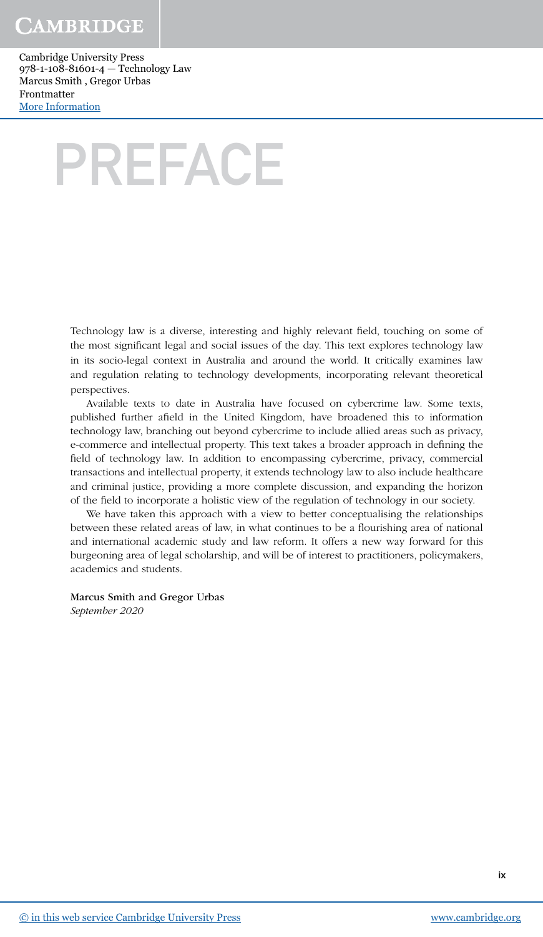Cambridge University Press 978-1-108-81601-4 — Technology Law Marcus Smith , Gregor Urbas Frontmatter [More Information](www.cambridge.org/9781108816014)

## PREFACE

Technology law is a diverse, interesting and highly relevant field, touching on some of the most significant legal and social issues of the day. This text explores technology law in its socio-legal context in Australia and around the world. It critically examines law and regulation relating to technology developments, incorporating relevant theoretical perspectives.

Available texts to date in Australia have focused on cybercrime law. Some texts, published further afield in the United Kingdom, have broadened this to information technology law, branching out beyond cybercrime to include allied areas such as privacy, e-commerce and intellectual property. This text takes a broader approach in defining the field of technology law. In addition to encompassing cybercrime, privacy, commercial transactions and intellectual property, it extends technology law to also include healthcare and criminal justice, providing a more complete discussion, and expanding the horizon of the field to incorporate a holistic view of the regulation of technology in our society.

We have taken this approach with a view to better conceptualising the relationships between these related areas of law, in what continues to be a flourishing area of national and international academic study and law reform. It offers a new way forward for this burgeoning area of legal scholarship, and will be of interest to practitioners, policymakers, academics and students.

#### Marcus Smith and Gregor Urbas

September 2020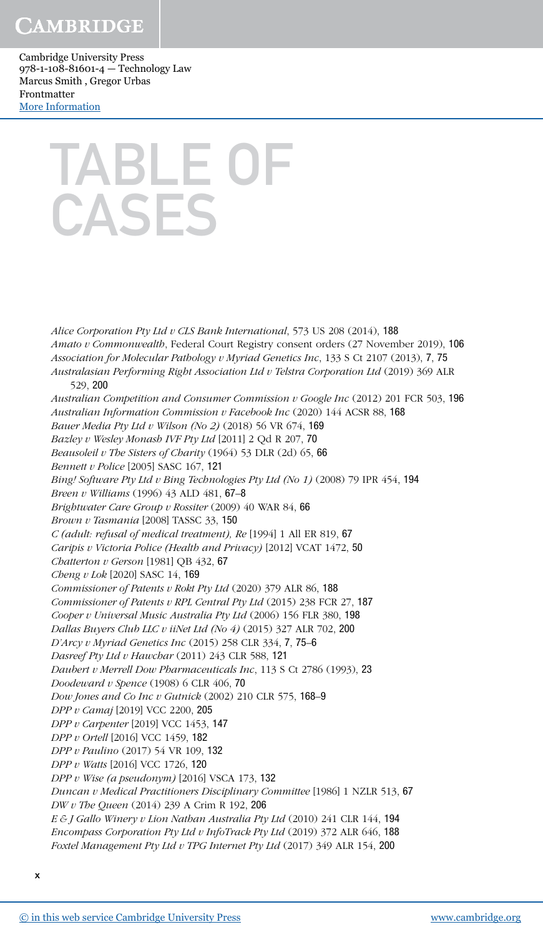Cambridge University Press 978-1-108-81601-4 — Technology Law Marcus Smith , Gregor Urbas Frontmatter [More Information](www.cambridge.org/9781108816014)

## TABLE OF CASES

Alice Corporation Pty Ltd v CLS Bank International, 573 US 208 (2014), 188 Amato v Commonwealth, Federal Court Registry consent orders (27 November 2019), 106 Association for Molecular Pathology v Myriad Genetics Inc, 133 S Ct 2107 (2013), 7, 75 Australasian Performing Right Association Ltd v Telstra Corporation Ltd (2019) 369 ALR 529, 200 Australian Competition and Consumer Commission v Google Inc  $(2012)$  201 FCR 503, 196 Australian Information Commission v Facebook Inc (2020) 144 ACSR 88, 168 Bauer Media Pty Ltd v Wilson (No 2) (2018) 56 VR 674, 169 Bazley v Wesley Monash IVF Pty Ltd [2011] 2 Qd R 207, 70 Beausoleil v The Sisters of Charity (1964) 53 DLR (2d) 65,  $66$ Bennett v Police [2005] SASC 167, 121 Bing! Software Pty Ltd v Bing Technologies Pty Ltd (No 1) (2008) 79 IPR 454, 194 Breen v Williams (1996) 43 ALD 481, 67–8 Brightwater Care Group v Rossiter (2009) 40 WAR 84, 66 Brown v Tasmania [2008] TASSC 33, 150 C (adult: refusal of medical treatment), Re [1994] 1 All ER 819, 67 Caripis v Victoria Police (Health and Privacy) [2012] VCAT 1472, 50 Chatterton v Gerson [1981] OB  $432, 67$ Cheng v Lok [2020] SASC 14, 169 Commissioner of Patents v Rokt Pty Ltd (2020) 379 ALR 86, 188 Commissioner of Patents v RPL Central Pty Ltd (2015) 238 FCR 27, 187 Cooper v Universal Music Australia Pty Ltd (2006) 156 FLR 380, 198 Dallas Buyers Club LLC v iiNet Ltd (No 4) (2015) 327 ALR 702, 200 D'Arcy v Myriad Genetics Inc (2015) 258 CLR 334, 7, 75–6 Dasreef Pty Ltd v Hawchar (2011) 243 CLR 588, 121 Daubert v Merrell Dow Pharmaceuticals Inc, 113 S Ct 2786 (1993), 23 Doodeward v Spence (1908) 6 CLR 406, 70 Dow Jones and Co Inc v Gutnick (2002) 210 CLR 575, 168–9 DPP v Camaj [2019] VCC 2200, 205 DPP v Carpenter [2019] VCC 1453, 147 DPP v Ortell [2016] VCC 1459, 182 DPP v Paulino (2017) 54 VR 109, 132 DPP v Watts [2016] VCC 1726, 120 DPP v Wise (a pseudonym) [2016] VSCA 173, 132 Duncan v Medical Practitioners Disciplinary Committee [1986] 1 NZLR 513, 67 DW v The Queen (2014) 239 A Crim R 192, 206 E & J Gallo Winery v Lion Nathan Australia Pty Ltd (2010) 241 CLR 144, 194 Encompass Corporation Pty Ltd v InfoTrack Pty Ltd (2019) 372 ALR 646, 188 Foxtel Management Pty Ltd v TPG Internet Pty Ltd (2017) 349 ALR 154, 200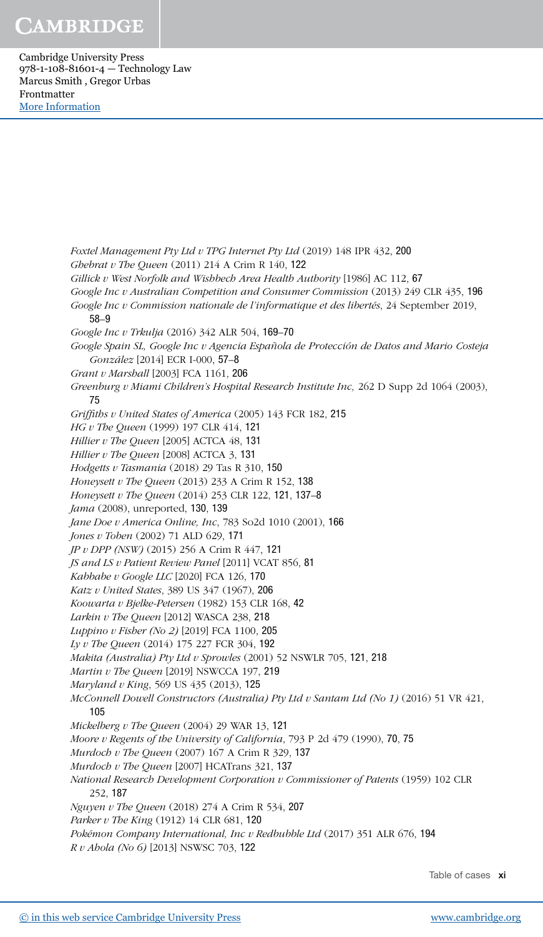Cambridge University Press 978-1-108-81601-4 — Technology Law Marcus Smith , Gregor Urbas Frontmatter [More Information](www.cambridge.org/9781108816014)

> Foxtel Management Pty Ltd v TPG Internet Pty Ltd (2019) 148 IPR 432, 200 Ghebrat v The Queen (2011) 214 A Crim R 140, 122 Gillick v West Norfolk and Wishbech Area Health Authority [1986] AC 112, 67 Google Inc v Australian Competition and Consumer Commission (2013) 249 CLR 435, 196 Google Inc v Commission nationale de l'informatique et des libertés, 24 September 2019, 58–9 Google Inc v Trkulja (2016) 342 ALR 504, 169–70 Google Spain SL, Google Inc v Agencia Española de Protección de Datos and Mario Costeja González [2014] ECR I-000, 57–8 Grant v Marshall [2003] FCA 1161, 206 Greenburg v Miami Children's Hospital Research Institute Inc, 262 D Supp 2d 1064 (2003), 75 Griffiths v United States of America (2005) 143 FCR 182, 215 HG v The Queen (1999) 197 CLR 414, 121 Hillier v The Queen [2005] ACTCA 48, 131 Hillier v The Queen [2008] ACTCA 3, 131 Hodgetts v Tasmania (2018) 29 Tas R 310, 150 Honeysett v The Queen  $(2013)$  233 A Crim R 152, 138 Honeysett v The Queen (2014) 253 CLR 122, 121, 137–8 Jama (2008), unreported, 130, 139 Jane Doe v America Online, Inc, 783 So2d 1010 (2001), 166 Jones v Toben (2002) 71 ALD 629, 171 JP v DPP (NSW) (2015) 256 A Crim R 447, 121 JS and LS v Patient Review Panel [2011] VCAT 856, 81 Kabbabe v Google LLC [2020] FCA 126, 170 Katz v United States, 389 US 347 (1967), 206 Koowarta v Bjelke-Petersen (1982) 153 CLR 168, 42 Larkin v The Queen [2012] WASCA 238, 218 Luppino v Fisher (No 2) [2019] FCA 1100, 205 Ly v The Queen (2014) 175 227 FCR 304, 192 Makita (Australia) Pty Ltd v Sprowles (2001) 52 NSWLR 705, 121, 218 Martin v The Oueen [2019] NSWCCA 197, 219 Maryland v King, 569 US 435 (2013), 125 McConnell Dowell Constructors (Australia) Pty Ltd v Santam Ltd (No 1) (2016) 51 VR 421, 105 Mickelberg v The Queen (2004) 29 WAR 13, 121 Moore v Regents of the University of California, 793 P 2d 479 (1990), 70, 75 Murdoch v The Queen (2007) 167 A Crim R 329, 137 Murdoch v The Queen [2007] HCATrans 321, 137 National Research Development Corporation v Commissioner of Patents (1959) 102 CLR 252, 187 Nguyen v The Queen (2018) 274 A Crim R 534, 207 Parker v The King (1912) 14 CLR 681, 120 Pokémon Company International, Inc v Redbubble Ltd (2017) 351 ALR 676, 194 R v Ahola (No 6) [2013] NSWSC 703, 122

> > Table of cases xi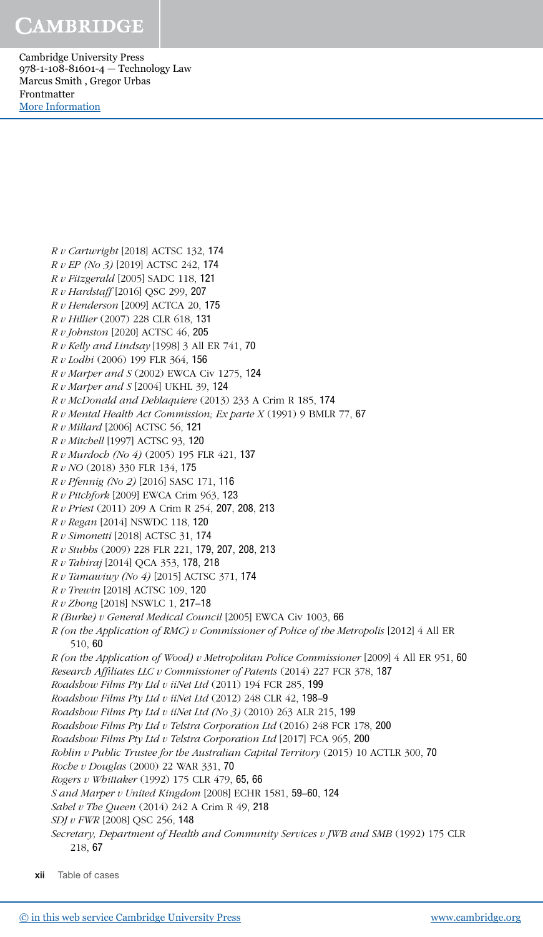Cambridge University Press 978-1-108-81601-4 — Technology Law Marcus Smith , Gregor Urbas Frontmatter [More Information](www.cambridge.org/9781108816014)

R v Cartwright [2018] ACTSC 132, 174

R v EP (No 3) [2019] ACTSC 242, 174 R v Fitzgerald [2005] SADC 118, 121 R v Hardstaff [2016] QSC 299, 207 R v Henderson [2009] ACTCA 20, 175 R v Hillier (2007) 228 CLR 618, 131 R v Johnston [2020] ACTSC 46, 205  $R v$  Kelly and Lindsay [1998] 3 All ER 741, 70 R v Lodhi (2006) 199 FLR 364, 156  $R v$  Marper and  $S$  (2002) EWCA Civ 1275, 124  $R v$  Marper and S [2004] UKHL 39, 124 R v McDonald and Deblaquiere (2013) 233 A Crim R 185, 174  $R v$  Mental Health Act Commission; Ex parte  $X(1991)$  9 BMLR 77, 67 R v Millard [2006] ACTSC 56, 121 R v Mitchell [1997] ACTSC 93, 120 R v Murdoch (No 4) (2005) 195 FLR 421, 137 R v NO (2018) 330 FLR 134, 175 R v Pfennig (No 2) [2016] SASC 171, 116 R v Pitchfork [2009] EWCA Crim 963, 123 R v Priest (2011) 209 A Crim R 254, 207, 208, 213 R v Regan [2014] NSWDC 118, 120 R v Simonetti [2018] ACTSC 31, 174 R v Stubbs (2009) 228 FLR 221, 179, 207, 208, 213 R v Tahiraj [2014] QCA 353, 178, 218 R v Tamawiwy (No 4) [2015] ACTSC 371, 174 R v Trewin [2018] ACTSC 109, 120 R v Zhong [2018] NSWLC 1, 217–18 R (Burke) v General Medical Council [2005] EWCA Civ 1003, 66 R (on the Application of RMC) v Commissioner of Police of the Metropolis [2012] 4 All ER 510, 60 R (on the Application of Wood) v Metropolitan Police Commissioner [2009] 4 All ER 951, 60 Research Affiliates LLC v Commissioner of Patents (2014) 227 FCR 378, 187 Roadshow Films Pty Ltd v iiNet Ltd (2011) 194 FCR 285, 199 Roadshow Films Pty Ltd v iiNet Ltd (2012) 248 CLR 42, 198-9 Roadshow Films Pty Ltd v iiNet Ltd (No 3) (2010) 263 ALR 215, 199 Roadshow Films Pty Ltd v Telstra Corporation Ltd (2016) 248 FCR 178, 200 Roadshow Films Pty Ltd v Telstra Corporation Ltd [2017] FCA 965, 200 Roblin v Public Trustee for the Australian Capital Territory (2015) 10 ACTLR 300, 70 Roche v Douglas (2000) 22 WAR 331, 70 Rogers v Whittaker (1992) 175 CLR 479, 65, 66 S and Marper v United Kingdom [2008] ECHR 1581, 59–60, 124 Sabel v The Queen (2014) 242 A Crim R 49, 218 SDJ v FWR [2008] QSC 256, 148 Secretary, Department of Health and Community Services v JWB and SMB (1992) 175 CLR 218, 67

xii Table of cases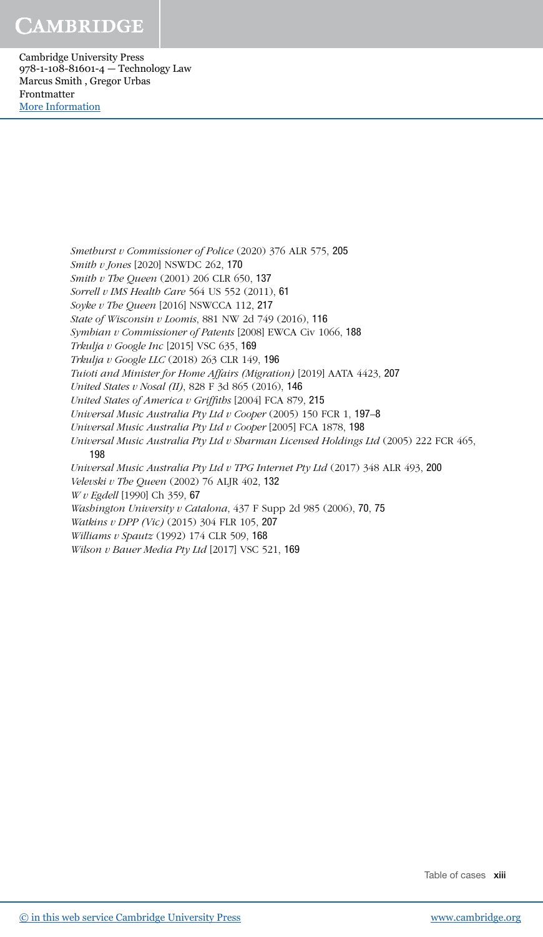Cambridge University Press 978-1-108-81601-4 — Technology Law Marcus Smith , Gregor Urbas Frontmatter [More Information](www.cambridge.org/9781108816014)

> Smethurst v Commissioner of Police (2020) 376 ALR 575, 205 Smith v Jones [2020] NSWDC 262, 170 Smith v The Oueen (2001) 206 CLR 650, 137 Sorrell v IMS Health Care 564 US 552 (2011), 61 Soyke v The Queen [2016] NSWCCA 112, 217 State of Wisconsin v Loomis, 881 NW 2d 749 (2016), 116 Symbian v Commissioner of Patents [2008] EWCA Civ 1066, 188 Trkulja v Google Inc [2015] VSC 635, 169 Trkulja v Google LLC (2018) 263 CLR 149, 196 Tuioti and Minister for Home Affairs (Migration) [2019] AATA 4423, 207 United States v Nosal (II), 828 F 3d 865 (2016), 146 United States of America v Griffiths [2004] FCA 879, 215 Universal Music Australia Pty Ltd v Cooper (2005) 150 FCR 1, 197–8 Universal Music Australia Pty Ltd v Cooper [2005] FCA 1878, 198 Universal Music Australia Pty Ltd v Sharman Licensed Holdings Ltd (2005) 222 FCR 465, 198 Universal Music Australia Pty Ltd v TPG Internet Pty Ltd (2017) 348 ALR 493, 200 Velevski v The Queen (2002) 76 ALJR 402, 132 W v Egdell [1990] Ch 359, 67 Washington University v Catalona, 437 F Supp 2d 985 (2006), 70, 75 Watkins v DPP (Vic) (2015) 304 FLR 105, 207 Williams v Spautz (1992) 174 CLR 509, 168 Wilson v Bauer Media Pty Ltd [2017] VSC 521, 169

> > Table of cases xiii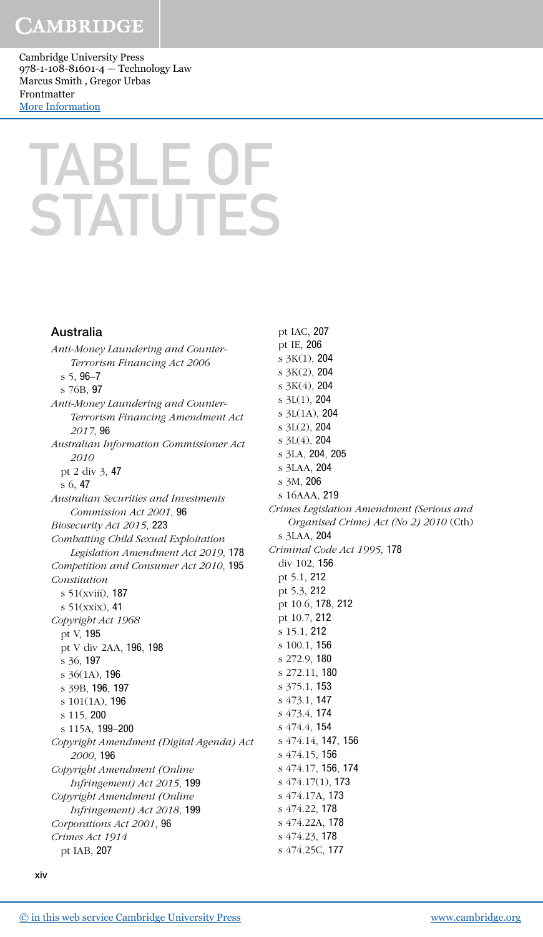Cambridge University Press 978-1-108-81601-4 — Technology Law Marcus Smith , Gregor Urbas Frontmatter [More Information](www.cambridge.org/9781108816014)

## TABLE OF **STATUTES**

#### Australia

Anti-Money Laundering and Counter-Terrorism Financing Act 2006 s 5, 96–7 s 76B, 97 Anti-Money Laundering and Counter-Terrorism Financing Amendment Act 2017, 96 Australian Information Commissioner Act 2010 pt 2 div 3, 47 s 6, 47 Australian Securities and Investments Commission Act 2001, 96 Biosecurity Act 2015, 223 Combatting Child Sexual Exploitation Legislation Amendment Act 2019, 178 Competition and Consumer Act 2010, 195 Constitution s 51(xviii), 187 s 51(xxix), 41 Copyright Act 1968 pt V, 195 pt V div 2AA, 196, 198 s 36, 197 s 36(1A), 196 s 39B, 196, 197 s 101(1A), 196 s 115, 200 s 115A, 199–200 Copyright Amendment (Digital Agenda) Act 2000, 196 Copyright Amendment (Online Infringement) Act 2015, 199 Copyright Amendment (Online Infringement) Act 2018, 199 Corporations Act 2001, 96 Crimes Act 1914 pt IAB, 207

pt IE, 206 s 3K(1), 204 s 3K(2), 204 s 3K(4), 204 s 3L(1), 204 s 3L(1A), 204 s 3L(2), 204 s 3L(4), 204 s 3LA, 204, 205 s 3LAA, 204 s 3M, 206 s 16AAA, 219 Crimes Legislation Amendment (Serious and Organised Crime) Act (No 2) 2010 (Cth) s 3LAA, 204 Criminal Code Act 1995, 178 div 102, 156 pt 5.1, 212 pt 5.3, 212 pt 10.6, 178, 212 pt 10.7, 212 s 15.1, 212 s 100.1, 156 s 272.9, 180 s 272.11, 180 s 375.1, 153 s 473.1, 147 s 473.4, 174 s 474.4, 154 s 474.14, 147, 156 s 474.15, 156 s 474.17, 156, 174 s 474.17(1), 173 s 474.17A, 173 s 474.22, 178 s 474.22A, 178 s 474.23, 178

pt IAC, 207

s 474.25C, 177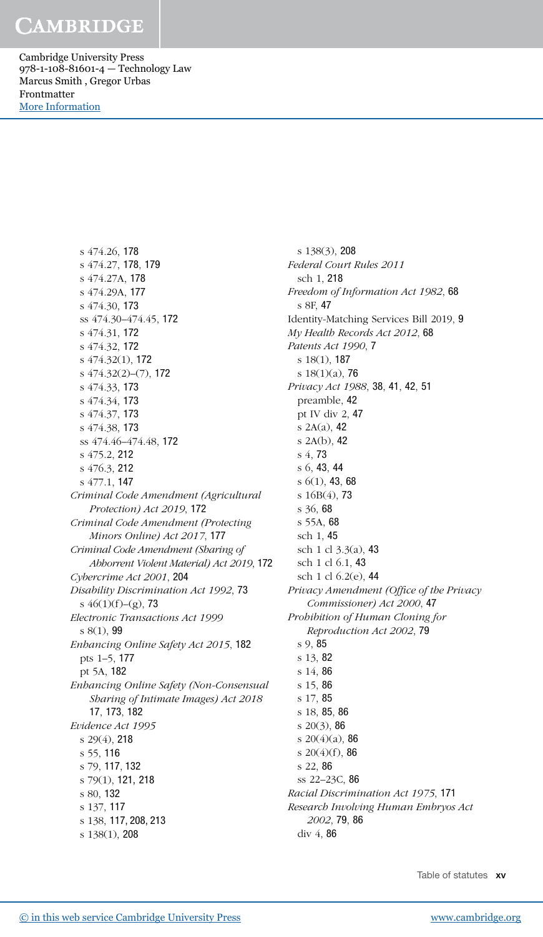Cambridge University Press 978-1-108-81601-4 — Technology Law Marcus Smith , Gregor Urbas Frontmatter [More Information](www.cambridge.org/9781108816014)

> s 474.26, 178 s 474.27, 178, 179 s 474.27A, 178 s 474.29A, 177 s 474.30, 173 ss 474.30–474.45, 172 s 474.31, 172 s 474.32, 172 s 474.32(1), 172 s 474.32(2)–(7), 172 s 474.33, 173 s 474.34, 173 s 474.37, 173 s 474.38, 173 ss 474.46–474.48, 172 s 475.2, 212 s 476.3, 212 s 477.1, 147 Criminal Code Amendment (Agricultural Protection) Act 2019, 172 Criminal Code Amendment (Protecting Minors Online) Act 2017, 177 Criminal Code Amendment (Sharing of Abhorrent Violent Material) Act 2019, 172 Cybercrime Act 2001, 204 Disability Discrimination Act 1992, 73 s  $46(1)(f)-(g)$ , 73 Electronic Transactions Act 1999 s 8(1), 99 Enhancing Online Safety Act 2015, 182 pts 1–5, 177 pt 5A, 182 Enhancing Online Safety (Non-Consensual Sharing of Intimate Images) Act 2018 17, 173, 182 Evidence Act 1995 s 29(4), 218 s 55, 116 s 79, 117, 132 s 79(1), 121, 218 s 80, 132 s 137, 117 s 138, 117, 208, 213 s 138(1), 208

s 138(3), 208 Federal Court Rules 2011 sch 1, 218 Freedom of Information Act 1982, 68 s 8F, 47 Identity-Matching Services Bill 2019, 9 My Health Records Act 2012, 68 Patents Act 1990, 7 s 18(1), 187 s  $18(1)(a)$ , 76 Privacy Act 1988, 38, 41, 42, 51 preamble, 42 pt IV div 2, 47 s 2A(a), 42 s 2A(b), 42 s 4, 73 s 6, 43, 44 s 6(1), 43, 68 s 16B(4), 73 s 36, 68 s 55A, 68 sch 1, 45 sch 1 cl 3.3(a), 43 sch 1 cl 6.1, 43 sch 1 cl 6.2(e), 44 Privacy Amendment (Office of the Privacy Commissioner) Act 2000, 47 Prohibition of Human Cloning for Reproduction Act 2002, 79 s 9, 85 s 13, 82 s 14, 86 s 15, 86 s 17, 85 s 18, 85, 86 s 20(3), 86 s  $20(4)(a)$ , 86 s  $20(4)(f)$ , 86 s 22, 86 ss 22–23C, 86 Racial Discrimination Act 1975, 171 Research Involving Human Embryos Act 2002, 79, 86 div 4, 86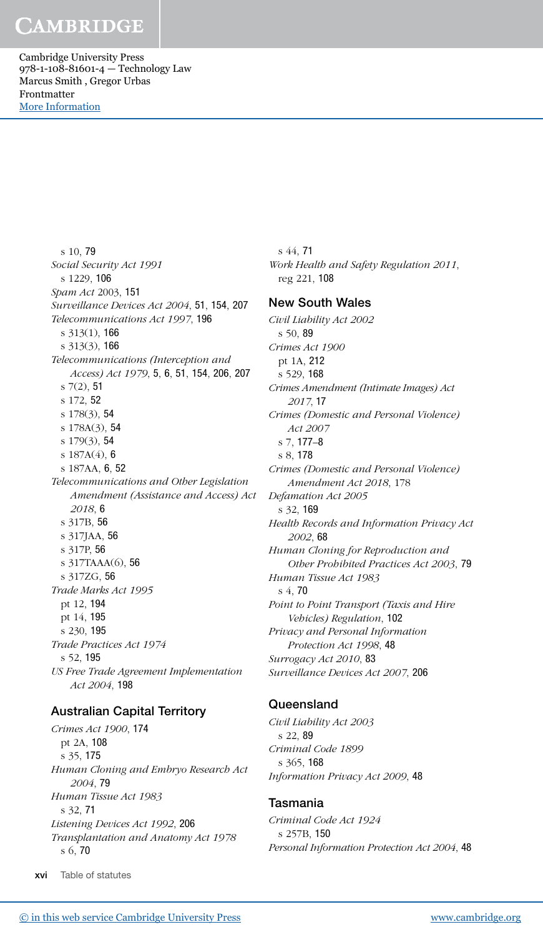Cambridge University Press 978-1-108-81601-4 — Technology Law Marcus Smith , Gregor Urbas Frontmatter [More Information](www.cambridge.org/9781108816014)

> s 10, 79 Social Security Act 1991 s 1229, 106 Spam Act 2003, 151 Surveillance Devices Act 2004, 51, 154, 207 Telecommunications Act 1997, 196 s 313(1), 166 s 313(3), 166 Telecommunications (Interception and Access) Act 1979, 5, 6, 51, 154, 206, 207 s  $7(2)$ , 51 s 172, 52 s 178(3), 54 s 178A(3), 54 s 179(3), 54 s 187A(4), 6 s 187AA, 6, 52 Telecommunications and Other Legislation Amendment (Assistance and Access) Act 2018, 6 s 317B, 56 s 317JAA, 56 s 317P, 56 s 317TAAA(6), 56 s 317ZG, 56 Trade Marks Act 1995 pt 12, 194 pt 14, 195 s 230, 195 Trade Practices Act 1974 s 52, 195 US Free Trade Agreement Implementation Act 2004, 198

#### Australian Capital Territory

Crimes Act 1900, 174 pt 2A, 108 s 35, 175 Human Cloning and Embryo Research Act 2004, 79 Human Tissue Act 1983 s 32, 71 Listening Devices Act 1992, 206 Transplantation and Anatomy Act 1978 s 6, 70

s 44, 71 Work Health and Safety Regulation 2011, reg 221, 108

#### New South Wales

Civil Liability Act 2002 s 50, 89 Crimes Act 1900 pt 1A, 212 s 529, 168 Crimes Amendment (Intimate Images) Act 2017, 17 Crimes (Domestic and Personal Violence) Act 2007 s 7, 177–8 s 8, 178 Crimes (Domestic and Personal Violence) Amendment Act 2018, 178 Defamation Act 2005 s 32, 169 Health Records and Information Privacy Act 2002, 68 Human Cloning for Reproduction and Other Prohibited Practices Act 2003, 79 Human Tissue Act 1983 s 4, 70 Point to Point Transport (Taxis and Hire Vehicles) Regulation, 102 Privacy and Personal Information Protection Act 1998, 48 Surrogacy Act 2010, 83 Surveillance Devices Act 2007, 206

#### **Queensland**

Civil Liability Act 2003 s 22, 89 Criminal Code 1899 s 365, 168 Information Privacy Act 2009, 48

#### Tasmania

Criminal Code Act 1924 s 257B, 150 Personal Information Protection Act 2004, 48

xvi Table of statutes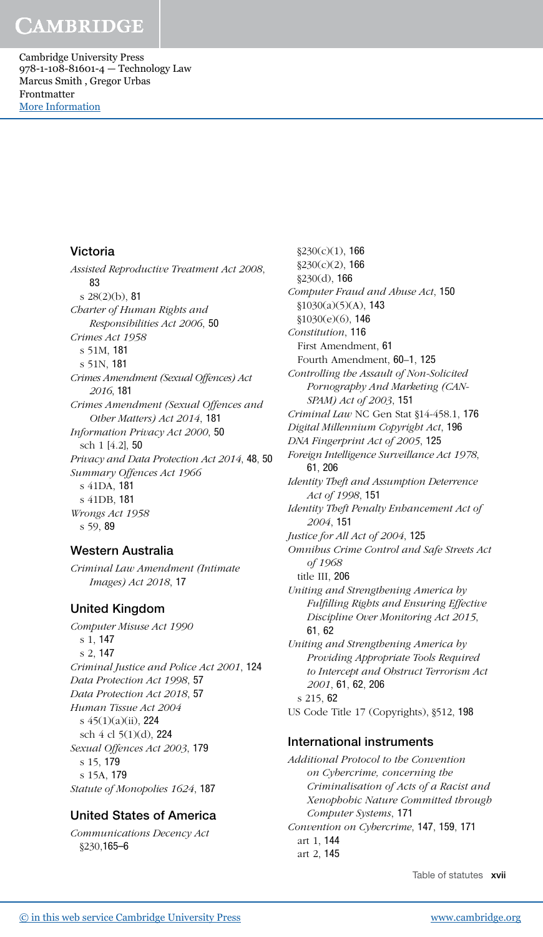Cambridge University Press 978-1-108-81601-4 — Technology Law Marcus Smith , Gregor Urbas Frontmatter [More Information](www.cambridge.org/9781108816014)

#### Victoria

Assisted Reproductive Treatment Act 2008, 83 s 28(2)(b), 81 Charter of Human Rights and Responsibilities Act 2006, 50 Crimes Act 1958 s 51M, 181 s 51N, 181 Crimes Amendment (Sexual Offences) Act 2016, 181 Crimes Amendment (Sexual Offences and Other Matters) Act 2014, 181 Information Privacy Act 2000, 50 sch 1 [4.2], 50 Privacy and Data Protection Act 2014, 48, 50 Summary Offences Act 1966 s 41DA, 181 s 41DB, 181 Wrongs Act 1958 s 59, 89

#### Western Australia

Criminal Law Amendment (Intimate Images) Act 2018, 17

#### United Kingdom

Computer Misuse Act 1990 s 1, 147 s 2, 147 Criminal Justice and Police Act 2001, 124 Data Protection Act 1998, 57 Data Protection Act 2018, 57 Human Tissue Act 2004 s 45(1)(a)(ii), 224 sch 4 cl 5(1)(d), 224 Sexual Offences Act 2003, 179 s 15, 179 s 15A, 179 Statute of Monopolies 1624, 187

#### United States of America

Communications Decency Act §230,165–6

 $§230(c)(1)$ , 166  $§230(c)(2)$ , 166 §230(d), 166 Computer Fraud and Abuse Act, 150 §1030(a)(5)(A), 143 §1030(e)(6), 146 Constitution, 116 First Amendment, 61 Fourth Amendment, 60–1, 125 Controlling the Assault of Non-Solicited Pornography And Marketing (CAN-SPAM) Act of 2003, 151 Criminal Law NC Gen Stat §14-458.1, 176 Digital Millennium Copyright Act, 196 DNA Fingerprint Act of 2005, 125 Foreign Intelligence Surveillance Act 1978, 61, 206 Identity Theft and Assumption Deterrence Act of 1998, 151 Identity Theft Penalty Enhancement Act of 2004, 151 Justice for All Act of 2004, 125 Omnibus Crime Control and Safe Streets Act of 1968 title III, 206 Uniting and Strengthening America by Fulfilling Rights and Ensuring Effective Discipline Over Monitoring Act 2015, 61, 62 Uniting and Strengthening America by Providing Appropriate Tools Required to Intercept and Obstruct Terrorism Act 2001, 61, 62, 206

s 215, 62 US Code Title 17 (Copyrights), §512, 198

#### International instruments

Additional Protocol to the Convention on Cybercrime, concerning the Criminalisation of Acts of a Racist and Xenophobic Nature Committed through Computer Systems, 171 Convention on Cybercrime, 147, 159, 171 art 1, 144 art 2, 145

Table of statutes xvii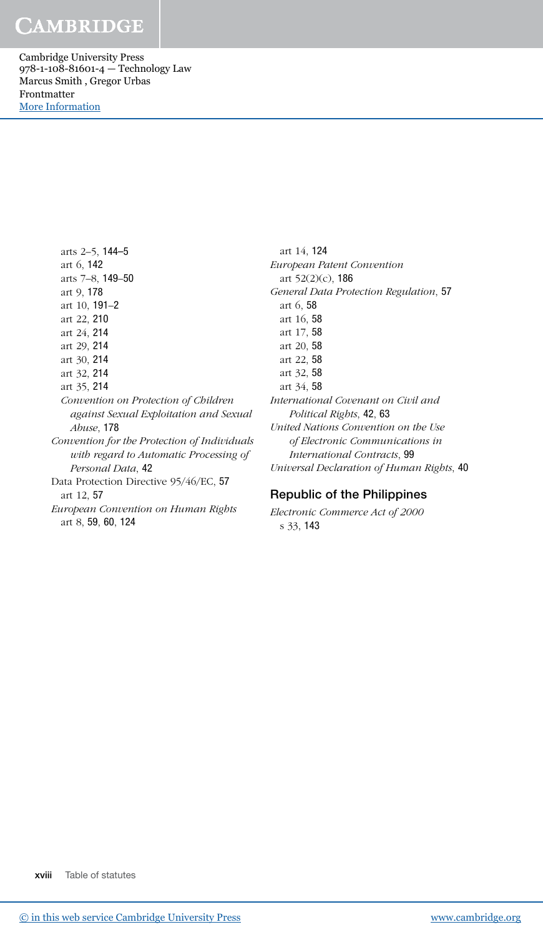Cambridge University Press 978-1-108-81601-4 — Technology Law Marcus Smith , Gregor Urbas Frontmatter [More Information](www.cambridge.org/9781108816014)

> arts 2–5, 144–5 art 6, 142 arts 7–8, 149–50 art 9, 178 art 10, 191–2 art 22, 210 art 24, 214 art 29, 214 art 30, 214 art 32, 214 art 35, 214 Convention on Protection of Children against Sexual Exploitation and Sexual Abuse, 178 Convention for the Protection of Individuals with regard to Automatic Processing of Personal Data, 42 Data Protection Directive 95/46/EC, 57 art 12, 57 European Convention on Human Rights art 8, 59, 60, 124

art 14, 124 European Patent Convention art 52(2)(c), 186 General Data Protection Regulation, 57 art 6, 58 art 16, 58 art 17, 58 art 20, 58 art 22, 58 art 32, 58 art 34, 58 International Covenant on Civil and Political Rights, 42, 63 United Nations Convention on the Use of Electronic Communications in International Contracts, 99 Universal Declaration of Human Rights, 40

#### Republic of the Philippines

Electronic Commerce Act of 2000 s 33, 143

xviii Table of statutes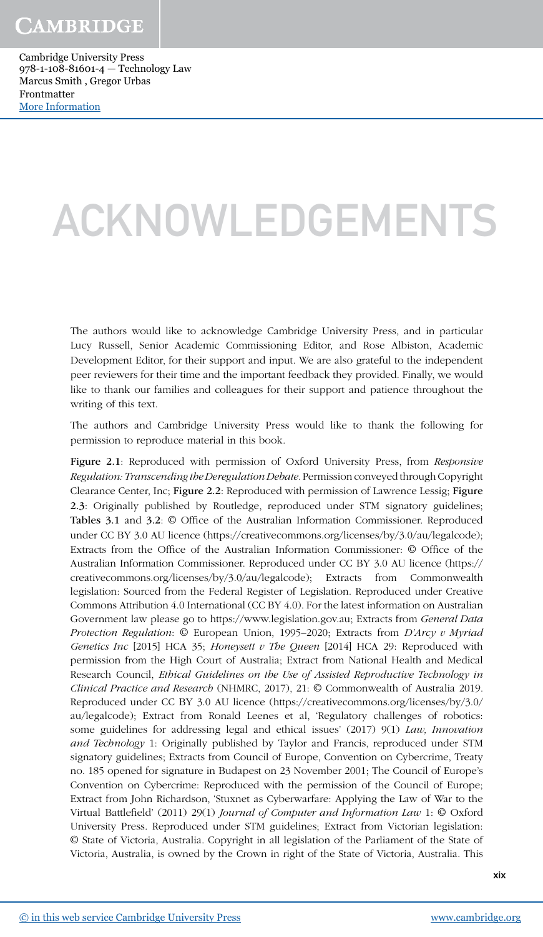## ACKNOWLEDGEMENTS

The authors would like to acknowledge Cambridge University Press, and in particular Lucy Russell, Senior Academic Commissioning Editor, and Rose Albiston, Academic Development Editor, for their support and input. We are also grateful to the independent peer reviewers for their time and the important feedback they provided. Finally, we would like to thank our families and colleagues for their support and patience throughout the writing of this text.

The authors and Cambridge University Press would like to thank the following for permission to reproduce material in this book.

Figure 2.1: Reproduced with permission of Oxford University Press, from Responsive Regulation: Transcending the Deregulation Debate. Permission conveyed through Copyright Clearance Center, Inc; Figure 2.2: Reproduced with permission of Lawrence Lessig; Figure 2.3: Originally published by Routledge, reproduced under STM signatory guidelines; Tables 3.1 and 3.2: © Office of the Australian Information Commissioner. Reproduced under CC BY 3.0 AU licence (https://creativecommons.org/licenses/by/3.0/au/legalcode); Extracts from the Office of the Australian Information Commissioner: © Office of the Australian Information Commissioner. Reproduced under CC BY 3.0 AU licence (https:// creativecommons.org/licenses/by/3.0/au/legalcode); Extracts from Commonwealth legislation: Sourced from the Federal Register of Legislation. Reproduced under Creative Commons Attribution 4.0 International (CC BY 4.0). For the latest information on Australian Government law please go to https://www.legislation.gov.au; Extracts from General Data Protection Regulation:  $\circ$  European Union, 1995–2020; Extracts from D'Arcy v Myriad Genetics Inc [2015] HCA 35; Honeysett v The Queen [2014] HCA 29: Reproduced with permission from the High Court of Australia; Extract from National Health and Medical Research Council, Ethical Guidelines on the Use of Assisted Reproductive Technology in Clinical Practice and Research (NHMRC, 2017), 21: © Commonwealth of Australia 2019. Reproduced under CC BY 3.0 AU licence (https://creativecommons.org/licenses/by/3.0/ au/legalcode); Extract from Ronald Leenes et al, 'Regulatory challenges of robotics: some guidelines for addressing legal and ethical issues' (2017) 9(1) Law, Innovation and Technology 1: Originally published by Taylor and Francis, reproduced under STM signatory guidelines; Extracts from Council of Europe, Convention on Cybercrime, Treaty no. 185 opened for signature in Budapest on 23 November 2001; The Council of Europe's Convention on Cybercrime: Reproduced with the permission of the Council of Europe; Extract from John Richardson, 'Stuxnet as Cyberwarfare: Applying the Law of War to the Virtual Battlefield' (2011) 29(1) Journal of Computer and Information Law 1: © Oxford University Press. Reproduced under STM guidelines; Extract from Victorian legislation: © State of Victoria, Australia. Copyright in all legislation of the Parliament of the State of Victoria, Australia, is owned by the Crown in right of the State of Victoria, Australia. This